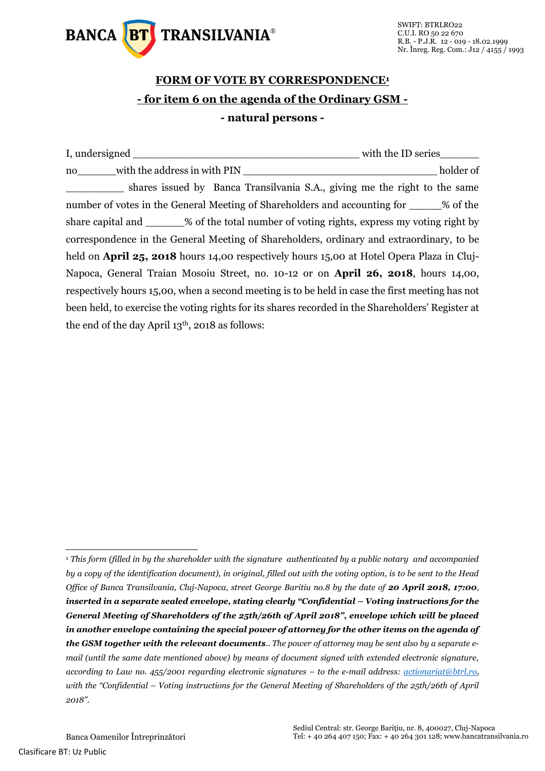

## **FORM OF VOTE BY CORRESPONDENCE<sup>1</sup> - for item 6 on the agenda of the Ordinary GSM - - natural persons -**

|                                                    |                                                                                                   | with the ID series |  |  |
|----------------------------------------------------|---------------------------------------------------------------------------------------------------|--------------------|--|--|
| no with the address in with PIN                    |                                                                                                   | holder of          |  |  |
|                                                    | shares issued by Banca Transilvania S.A., giving me the right to the same                         |                    |  |  |
|                                                    | number of votes in the General Meeting of Shareholders and accounting for 3% of the               |                    |  |  |
|                                                    | share capital and _______% of the total number of voting rights, express my voting right by       |                    |  |  |
|                                                    | correspondence in the General Meeting of Shareholders, ordinary and extraordinary, to be          |                    |  |  |
|                                                    | held on <b>April 25, 2018</b> hours 14,00 respectively hours 15,00 at Hotel Opera Plaza in Cluj-  |                    |  |  |
|                                                    | Napoca, General Traian Mosoiu Street, no. 10-12 or on <b>April 26, 2018</b> , hours 14,00,        |                    |  |  |
|                                                    | respectively hours 15,00, when a second meeting is to be held in case the first meeting has not   |                    |  |  |
|                                                    | been held, to exercise the voting rights for its shares recorded in the Shareholders' Register at |                    |  |  |
| the end of the day April $13th$ , 2018 as follows: |                                                                                                   |                    |  |  |

-

<sup>1</sup> *This form (filled in by the shareholder with the signature authenticated by a public notary and accompanied by a copy of the identification document), in original, filled out with the voting option, is to be sent to the Head Office of Banca Transilvania, Cluj-Napoca, street George Baritiu no.8 by the date of 20 April 2018, 17:00*, *inserted in a separate sealed envelope, stating clearly "Confidential – Voting instructions for the General Meeting of Shareholders of the 25th/26th of April 2018", envelope which will be placed in another envelope containing the special power of attorney for the other items on the agenda of the GSM together with the relevant documents.. The power of attorney may be sent also by a separate email (until the same date mentioned above) by means of document signed with extended electronic signature, according to Law no. 455/2001 regarding electronic signatures – to the e-mail address: [actionariat@btrl.ro,](mailto:actionariat@btrl.ro) with the "Confidential – Voting instructions for the General Meeting of Shareholders of the 25th/26th of April 2018".*